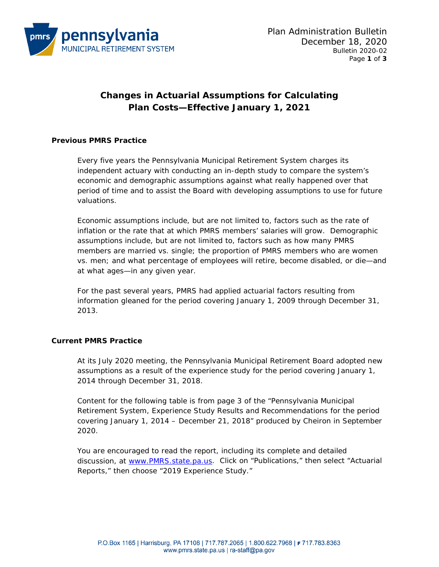

# **Changes in Actuarial Assumptions for Calculating Plan Costs—Effective January 1, 2021**

## **Previous PMRS Practice**

Every five years the Pennsylvania Municipal Retirement System charges its independent actuary with conducting an in-depth study to compare the system's economic and demographic assumptions against what really happened over that period of time and to assist the Board with developing assumptions to use for future valuations.

Economic assumptions include, but are not limited to, factors such as the rate of inflation or the rate that at which PMRS members' salaries will grow. Demographic assumptions include, but are not limited to, factors such as how many PMRS members are married vs. single; the proportion of PMRS members who are women vs. men; and what percentage of employees will retire, become disabled, or die—and at what ages—in any given year.

For the past several years, PMRS had applied actuarial factors resulting from information gleaned *for the period covering January 1, 2009 through December 31, 2013*.

## **Current PMRS Practice**

At its July 2020 meeting, the Pennsylvania Municipal Retirement Board adopted new assumptions as a result of the experience study *for the period covering January 1, 2014 through December 31, 2018*.

Content for the following table is from page 3 of the "Pennsylvania Municipal Retirement System, Experience Study Results and Recommendations for the period covering January 1, 2014 – December 21, 2018" produced by Cheiron in September 2020.

You are encouraged to read the report, including its complete and detailed discussion, at [www.PMRS.state.pa.us.](http://www.pmrs.state.pa.us/) Click on "Publications," then select "Actuarial Reports," then choose "2019 Experience Study."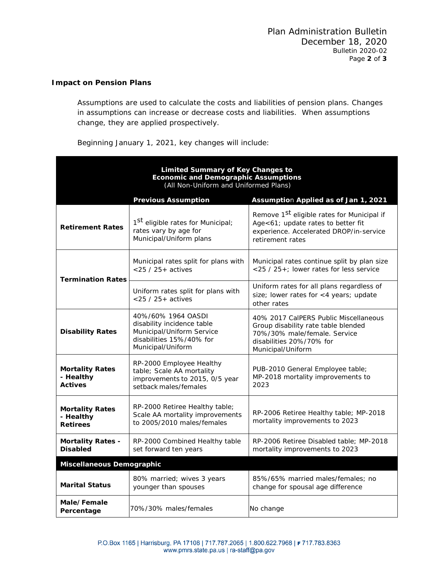## **Impact on Pension Plans**

Assumptions are used to calculate the costs and liabilities of pension plans. Changes in assumptions can increase or decrease costs and liabilities. When assumptions change, they are applied prospectively.

Beginning January 1, 2021, key changes will include:

| Limited Summary of Key Changes to<br><b>Economic and Demographic Assumptions</b><br>(All Non-Uniform and Uniformed Plans) |                                                                                                                                |                                                                                                                                                               |  |
|---------------------------------------------------------------------------------------------------------------------------|--------------------------------------------------------------------------------------------------------------------------------|---------------------------------------------------------------------------------------------------------------------------------------------------------------|--|
|                                                                                                                           | <b>Previous Assumption</b>                                                                                                     | Assumption Applied as of Jan 1, 2021                                                                                                                          |  |
| <b>Retirement Rates</b>                                                                                                   | 1 <sup>st</sup> eligible rates for Municipal;<br>rates vary by age for<br>Municipal/Uniform plans                              | Remove 1 <sup>St</sup> eligible rates for Municipal if<br>Age<61; update rates to better fit<br>experience. Accelerated DROP/in-service<br>retirement rates   |  |
| <b>Termination Rates</b>                                                                                                  | Municipal rates split for plans with<br>$<$ 25 / 25 + actives                                                                  | Municipal rates continue split by plan size<br><25 / 25+; lower rates for less service                                                                        |  |
|                                                                                                                           | Uniform rates split for plans with<br>$<$ 25 / 25 + actives                                                                    | Uniform rates for all plans regardless of<br>size; lower rates for <4 years; update<br>other rates                                                            |  |
| <b>Disability Rates</b>                                                                                                   | 40%/60% 1964 OASDI<br>disability incidence table<br>Municipal/Uniform Service<br>disabilities 15%/40% for<br>Municipal/Uniform | 40% 2017 CalPERS Public Miscellaneous<br>Group disability rate table blended<br>70%/30% male/female. Service<br>disabilities 20%/70% for<br>Municipal/Uniform |  |
| <b>Mortality Rates</b><br>- Healthy<br><b>Actives</b>                                                                     | RP-2000 Employee Healthy<br>table; Scale AA mortality<br>improvements to 2015, 0/5 year<br>setback males/females               | PUB-2010 General Employee table;<br>MP-2018 mortality improvements to<br>2023                                                                                 |  |
| <b>Mortality Rates</b><br>- Healthy<br><b>Retirees</b>                                                                    | RP-2000 Retiree Healthy table;<br>Scale AA mortality improvements<br>to 2005/2010 males/females                                | RP-2006 Retiree Healthy table; MP-2018<br>mortality improvements to 2023                                                                                      |  |
| <b>Mortality Rates -</b><br><b>Disabled</b>                                                                               | RP-2000 Combined Healthy table<br>set forward ten years                                                                        | RP-2006 Retiree Disabled table; MP-2018<br>mortality improvements to 2023                                                                                     |  |
| Miscellaneous Demographic                                                                                                 |                                                                                                                                |                                                                                                                                                               |  |
| <b>Marital Status</b>                                                                                                     | 80% married; wives 3 years<br>younger than spouses                                                                             | 85%/65% married males/females; no<br>change for spousal age difference                                                                                        |  |
| Male/Female<br>Percentage                                                                                                 | 70%/30% males/females                                                                                                          | No change                                                                                                                                                     |  |